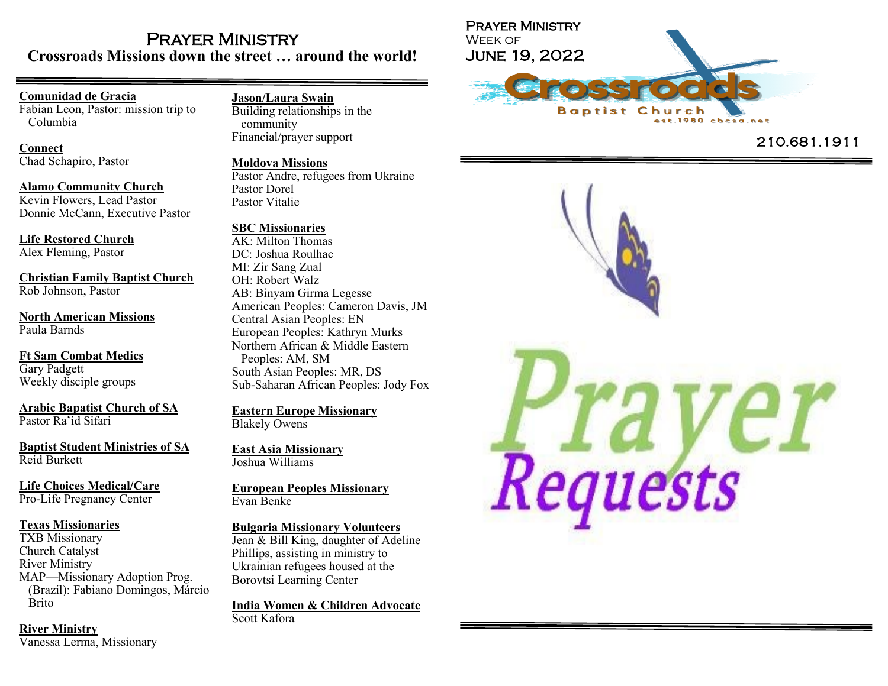## Prayer Ministry **Crossroads Missions down the street … around the world!**

## **Comunidad de Gracia**

Fabian Leon, Pastor: mission trip to Columbia

**Connect**

Chad Schapiro, Pastor

**Alamo Community Church** Kevin Flowers, Lead Pastor Donnie McCann, Executive Pastor

**Life Restored Church**

Alex Fleming, Pastor

**Christian Family Baptist Church** Rob Johnson, Pastor

**North American Missions** Paula Barnds

**Ft Sam Combat Medics** Gary Padgett Weekly disciple groups

**Arabic Bapatist Church of SA** Pastor Ra 'id Sifari

**Baptist Student Ministries of SA** Reid Burkett

**Life Choices Medical/Care** Pro -Life Pregnancy Center

### **Texas Missionaries**

TXB Missionary Church Catalyst River Ministry MAP —Missionary Adoption Prog. (Brazil): Fabiano Domingos, Márcio Brito

**River Ministry** Vanessa Lerma, Missionary

### **Jason/Laura Swain**

Building relationships in the community Financial/prayer support

#### **Moldova Missions**

Pastor Andre, refugees from Ukraine Pastor Dorel Pastor Vitalie

### **SBC Missionaries**

AK: Milton Thomas DC: Joshua Roulhac MI: Zir Sang Zual OH: Robert Walz AB: Binyam Girma Legesse American Peoples: Cameron Davis, JM Central Asian Peoples: EN European Peoples: Kathryn Murks Northern African & Middle Eastern Peoples: AM, SM South Asian Peoples: MR, DS Sub -Saharan African Peoples: Jody Fox

**Eastern Europe Missionary** Blakely Owens

**East Asia Missionary** Joshua Williams

**European Peoples Missionary** Evan Benke

**Bulgaria Missionary Volunteers**

Jean & Bill King, daughter of Adeline Phillips, assisting in ministry to Ukrainian refugees housed at the Borovtsi Learning Center

**India Women & Children Advocate** Scott Kafora



# 210.681.1911